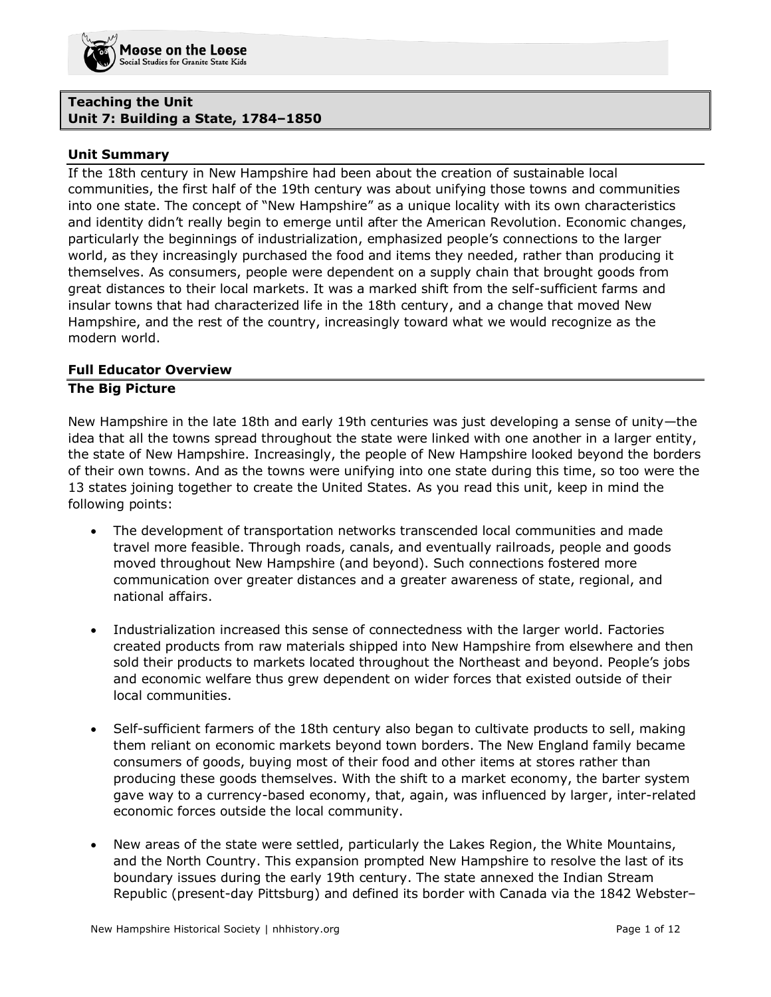## **Teaching the Unit Unit 7: Building a State, 1784–1850**

### **Unit Summary**

If the 18th century in New Hampshire had been about the creation of sustainable local communities, the first half of the 19th century was about unifying those towns and communities into one state. The concept of "New Hampshire" as a unique locality with its own characteristics and identity didn't really begin to emerge until after the American Revolution. Economic changes, particularly the beginnings of industrialization, emphasized people's connections to the larger world, as they increasingly purchased the food and items they needed, rather than producing it themselves. As consumers, people were dependent on a supply chain that brought goods from great distances to their local markets. It was a marked shift from the self-sufficient farms and insular towns that had characterized life in the 18th century, and a change that moved New Hampshire, and the rest of the country, increasingly toward what we would recognize as the modern world.

# **Full Educator Overview**

# **The Big Picture**

New Hampshire in the late 18th and early 19th centuries was just developing a sense of unity—the idea that all the towns spread throughout the state were linked with one another in a larger entity, the state of New Hampshire. Increasingly, the people of New Hampshire looked beyond the borders of their own towns. And as the towns were unifying into one state during this time, so too were the 13 states joining together to create the United States. As you read this unit, keep in mind the following points:

- The development of transportation networks transcended local communities and made travel more feasible. Through roads, canals, and eventually railroads, people and goods moved throughout New Hampshire (and beyond). Such connections fostered more communication over greater distances and a greater awareness of state, regional, and national affairs.
- Industrialization increased this sense of connectedness with the larger world. Factories created products from raw materials shipped into New Hampshire from elsewhere and then sold their products to markets located throughout the Northeast and beyond. People's jobs and economic welfare thus grew dependent on wider forces that existed outside of their local communities.
- Self-sufficient farmers of the 18th century also began to cultivate products to sell, making them reliant on economic markets beyond town borders. The New England family became consumers of goods, buying most of their food and other items at stores rather than producing these goods themselves. With the shift to a market economy, the barter system gave way to a currency-based economy, that, again, was influenced by larger, inter-related economic forces outside the local community.
- New areas of the state were settled, particularly the Lakes Region, the White Mountains, and the North Country. This expansion prompted New Hampshire to resolve the last of its boundary issues during the early 19th century. The state annexed the Indian Stream Republic (present-day Pittsburg) and defined its border with Canada via the 1842 Webster–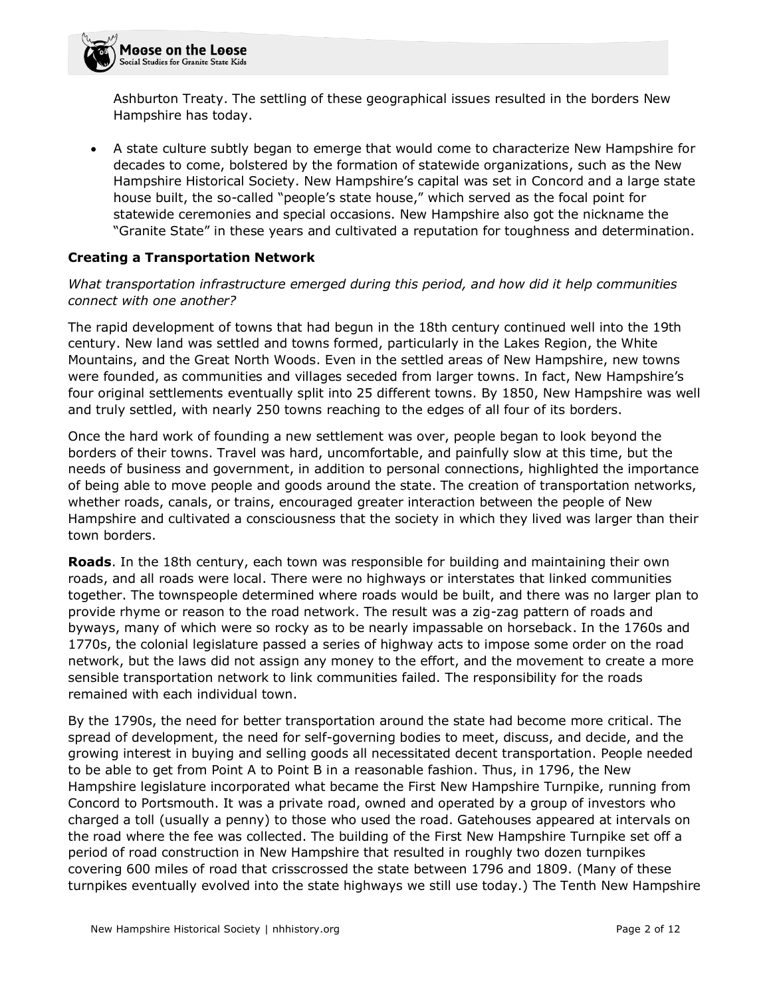Ashburton Treaty. The settling of these geographical issues resulted in the borders New Hampshire has today.

• A state culture subtly began to emerge that would come to characterize New Hampshire for decades to come, bolstered by the formation of statewide organizations, such as the New Hampshire Historical Society. New Hampshire's capital was set in Concord and a large state house built, the so-called "people's state house," which served as the focal point for statewide ceremonies and special occasions. New Hampshire also got the nickname the "Granite State" in these years and cultivated a reputation for toughness and determination.

# **Creating a Transportation Network**

### *What transportation infrastructure emerged during this period, and how did it help communities connect with one another?*

The rapid development of towns that had begun in the 18th century continued well into the 19th century. New land was settled and towns formed, particularly in the Lakes Region, the White Mountains, and the Great North Woods. Even in the settled areas of New Hampshire, new towns were founded, as communities and villages seceded from larger towns. In fact, New Hampshire's four original settlements eventually split into 25 different towns. By 1850, New Hampshire was well and truly settled, with nearly 250 towns reaching to the edges of all four of its borders.

Once the hard work of founding a new settlement was over, people began to look beyond the borders of their towns. Travel was hard, uncomfortable, and painfully slow at this time, but the needs of business and government, in addition to personal connections, highlighted the importance of being able to move people and goods around the state. The creation of transportation networks, whether roads, canals, or trains, encouraged greater interaction between the people of New Hampshire and cultivated a consciousness that the society in which they lived was larger than their town borders.

**Roads**. In the 18th century, each town was responsible for building and maintaining their own roads, and all roads were local. There were no highways or interstates that linked communities together. The townspeople determined where roads would be built, and there was no larger plan to provide rhyme or reason to the road network. The result was a zig-zag pattern of roads and byways, many of which were so rocky as to be nearly impassable on horseback. In the 1760s and 1770s, the colonial legislature passed a series of highway acts to impose some order on the road network, but the laws did not assign any money to the effort, and the movement to create a more sensible transportation network to link communities failed. The responsibility for the roads remained with each individual town.

By the 1790s, the need for better transportation around the state had become more critical. The spread of development, the need for self-governing bodies to meet, discuss, and decide, and the growing interest in buying and selling goods all necessitated decent transportation. People needed to be able to get from Point A to Point B in a reasonable fashion. Thus, in 1796, the New Hampshire legislature incorporated what became the First New Hampshire Turnpike, running from Concord to Portsmouth. It was a private road, owned and operated by a group of investors who charged a toll (usually a penny) to those who used the road. Gatehouses appeared at intervals on the road where the fee was collected. The building of the First New Hampshire Turnpike set off a period of road construction in New Hampshire that resulted in roughly two dozen turnpikes covering 600 miles of road that crisscrossed the state between 1796 and 1809. (Many of these turnpikes eventually evolved into the state highways we still use today.) The Tenth New Hampshire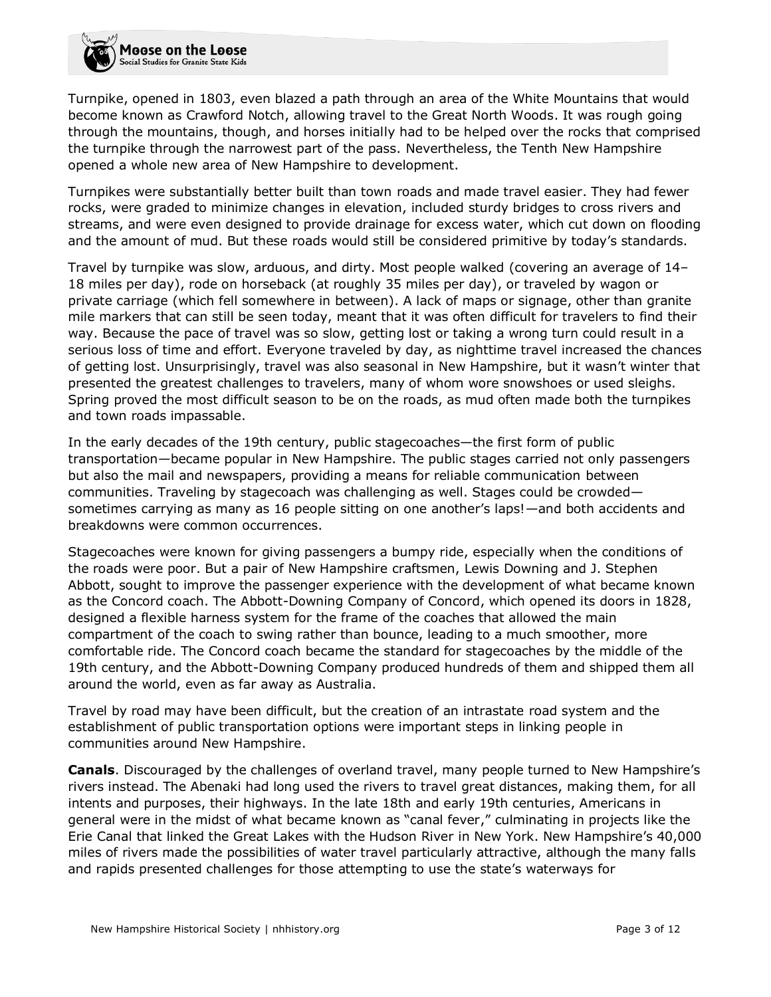Turnpike, opened in 1803, even blazed a path through an area of the White Mountains that would become known as Crawford Notch, allowing travel to the Great North Woods. It was rough going through the mountains, though, and horses initially had to be helped over the rocks that comprised the turnpike through the narrowest part of the pass. Nevertheless, the Tenth New Hampshire opened a whole new area of New Hampshire to development.

Turnpikes were substantially better built than town roads and made travel easier. They had fewer rocks, were graded to minimize changes in elevation, included sturdy bridges to cross rivers and streams, and were even designed to provide drainage for excess water, which cut down on flooding and the amount of mud. But these roads would still be considered primitive by today's standards.

Travel by turnpike was slow, arduous, and dirty. Most people walked (covering an average of 14– 18 miles per day), rode on horseback (at roughly 35 miles per day), or traveled by wagon or private carriage (which fell somewhere in between). A lack of maps or signage, other than granite mile markers that can still be seen today, meant that it was often difficult for travelers to find their way. Because the pace of travel was so slow, getting lost or taking a wrong turn could result in a serious loss of time and effort. Everyone traveled by day, as nighttime travel increased the chances of getting lost. Unsurprisingly, travel was also seasonal in New Hampshire, but it wasn't winter that presented the greatest challenges to travelers, many of whom wore snowshoes or used sleighs. Spring proved the most difficult season to be on the roads, as mud often made both the turnpikes and town roads impassable.

In the early decades of the 19th century, public stagecoaches—the first form of public transportation—became popular in New Hampshire. The public stages carried not only passengers but also the mail and newspapers, providing a means for reliable communication between communities. Traveling by stagecoach was challenging as well. Stages could be crowded sometimes carrying as many as 16 people sitting on one another's laps!—and both accidents and breakdowns were common occurrences.

Stagecoaches were known for giving passengers a bumpy ride, especially when the conditions of the roads were poor. But a pair of New Hampshire craftsmen, Lewis Downing and J. Stephen Abbott, sought to improve the passenger experience with the development of what became known as the Concord coach. The Abbott-Downing Company of Concord, which opened its doors in 1828, designed a flexible harness system for the frame of the coaches that allowed the main compartment of the coach to swing rather than bounce, leading to a much smoother, more comfortable ride. The Concord coach became the standard for stagecoaches by the middle of the 19th century, and the Abbott-Downing Company produced hundreds of them and shipped them all around the world, even as far away as Australia.

Travel by road may have been difficult, but the creation of an intrastate road system and the establishment of public transportation options were important steps in linking people in communities around New Hampshire.

**Canals**. Discouraged by the challenges of overland travel, many people turned to New Hampshire's rivers instead. The Abenaki had long used the rivers to travel great distances, making them, for all intents and purposes, their highways. In the late 18th and early 19th centuries, Americans in general were in the midst of what became known as "canal fever," culminating in projects like the Erie Canal that linked the Great Lakes with the Hudson River in New York. New Hampshire's 40,000 miles of rivers made the possibilities of water travel particularly attractive, although the many falls and rapids presented challenges for those attempting to use the state's waterways for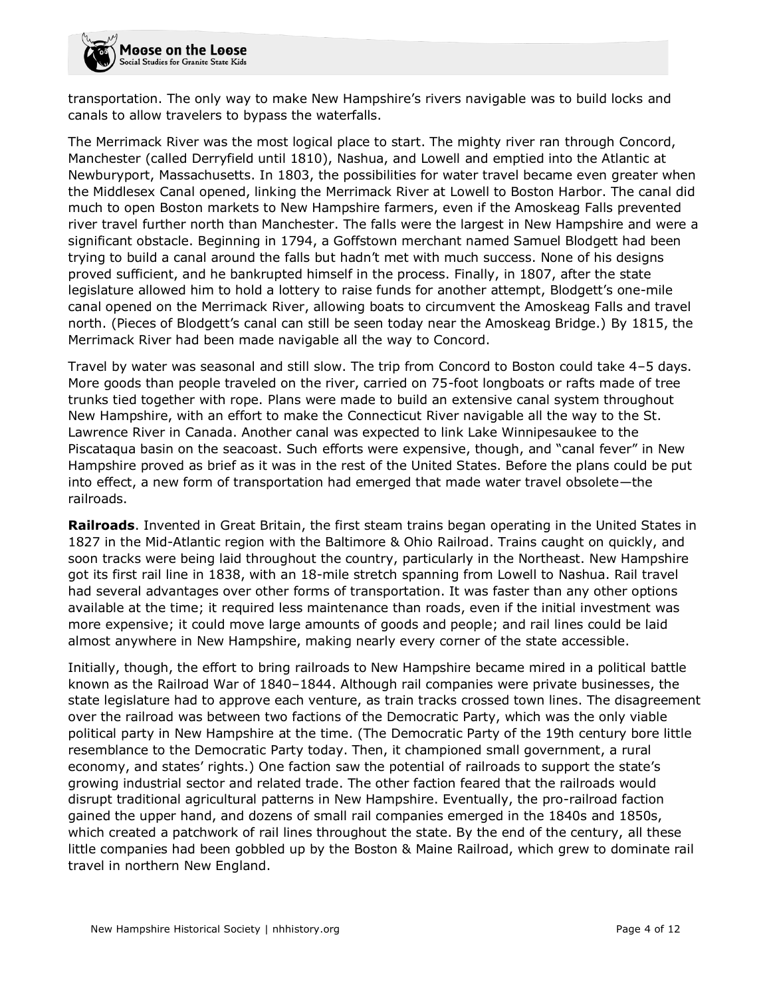transportation. The only way to make New Hampshire's rivers navigable was to build locks and canals to allow travelers to bypass the waterfalls.

The Merrimack River was the most logical place to start. The mighty river ran through Concord, Manchester (called Derryfield until 1810), Nashua, and Lowell and emptied into the Atlantic at Newburyport, Massachusetts. In 1803, the possibilities for water travel became even greater when the Middlesex Canal opened, linking the Merrimack River at Lowell to Boston Harbor. The canal did much to open Boston markets to New Hampshire farmers, even if the Amoskeag Falls prevented river travel further north than Manchester. The falls were the largest in New Hampshire and were a significant obstacle. Beginning in 1794, a Goffstown merchant named Samuel Blodgett had been trying to build a canal around the falls but hadn't met with much success. None of his designs proved sufficient, and he bankrupted himself in the process. Finally, in 1807, after the state legislature allowed him to hold a lottery to raise funds for another attempt, Blodgett's one-mile canal opened on the Merrimack River, allowing boats to circumvent the Amoskeag Falls and travel north. (Pieces of Blodgett's canal can still be seen today near the Amoskeag Bridge.) By 1815, the Merrimack River had been made navigable all the way to Concord.

Travel by water was seasonal and still slow. The trip from Concord to Boston could take 4–5 days. More goods than people traveled on the river, carried on 75-foot longboats or rafts made of tree trunks tied together with rope. Plans were made to build an extensive canal system throughout New Hampshire, with an effort to make the Connecticut River navigable all the way to the St. Lawrence River in Canada. Another canal was expected to link Lake Winnipesaukee to the Piscataqua basin on the seacoast. Such efforts were expensive, though, and "canal fever" in New Hampshire proved as brief as it was in the rest of the United States. Before the plans could be put into effect, a new form of transportation had emerged that made water travel obsolete—the railroads.

**Railroads**. Invented in Great Britain, the first steam trains began operating in the United States in 1827 in the Mid-Atlantic region with the Baltimore & Ohio Railroad. Trains caught on quickly, and soon tracks were being laid throughout the country, particularly in the Northeast. New Hampshire got its first rail line in 1838, with an 18-mile stretch spanning from Lowell to Nashua. Rail travel had several advantages over other forms of transportation. It was faster than any other options available at the time; it required less maintenance than roads, even if the initial investment was more expensive; it could move large amounts of goods and people; and rail lines could be laid almost anywhere in New Hampshire, making nearly every corner of the state accessible.

Initially, though, the effort to bring railroads to New Hampshire became mired in a political battle known as the Railroad War of 1840–1844. Although rail companies were private businesses, the state legislature had to approve each venture, as train tracks crossed town lines. The disagreement over the railroad was between two factions of the Democratic Party, which was the only viable political party in New Hampshire at the time. (The Democratic Party of the 19th century bore little resemblance to the Democratic Party today. Then, it championed small government, a rural economy, and states' rights.) One faction saw the potential of railroads to support the state's growing industrial sector and related trade. The other faction feared that the railroads would disrupt traditional agricultural patterns in New Hampshire. Eventually, the pro-railroad faction gained the upper hand, and dozens of small rail companies emerged in the 1840s and 1850s, which created a patchwork of rail lines throughout the state. By the end of the century, all these little companies had been gobbled up by the Boston & Maine Railroad, which grew to dominate rail travel in northern New England.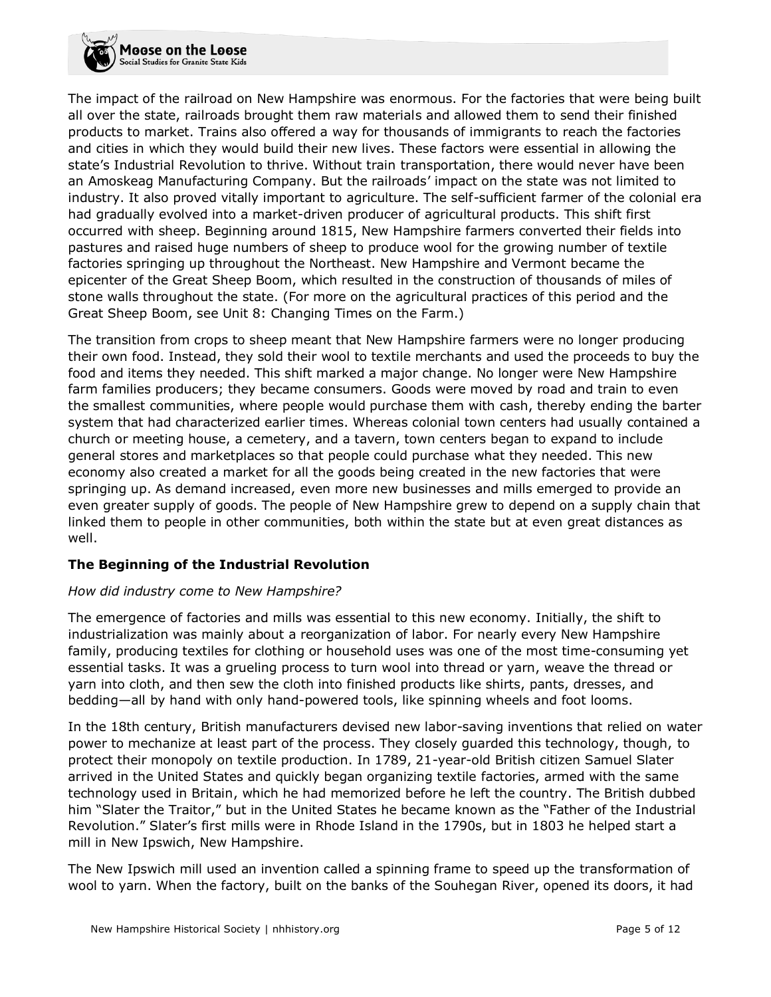The impact of the railroad on New Hampshire was enormous. For the factories that were being built all over the state, railroads brought them raw materials and allowed them to send their finished products to market. Trains also offered a way for thousands of immigrants to reach the factories and cities in which they would build their new lives. These factors were essential in allowing the state's Industrial Revolution to thrive. Without train transportation, there would never have been an Amoskeag Manufacturing Company. But the railroads' impact on the state was not limited to industry. It also proved vitally important to agriculture. The self-sufficient farmer of the colonial era had gradually evolved into a market-driven producer of agricultural products. This shift first occurred with sheep. Beginning around 1815, New Hampshire farmers converted their fields into pastures and raised huge numbers of sheep to produce wool for the growing number of textile factories springing up throughout the Northeast. New Hampshire and Vermont became the epicenter of the Great Sheep Boom, which resulted in the construction of thousands of miles of stone walls throughout the state. (For more on the agricultural practices of this period and the Great Sheep Boom, see Unit 8: Changing Times on the Farm.)

The transition from crops to sheep meant that New Hampshire farmers were no longer producing their own food. Instead, they sold their wool to textile merchants and used the proceeds to buy the food and items they needed. This shift marked a major change. No longer were New Hampshire farm families producers; they became consumers. Goods were moved by road and train to even the smallest communities, where people would purchase them with cash, thereby ending the barter system that had characterized earlier times. Whereas colonial town centers had usually contained a church or meeting house, a cemetery, and a tavern, town centers began to expand to include general stores and marketplaces so that people could purchase what they needed. This new economy also created a market for all the goods being created in the new factories that were springing up. As demand increased, even more new businesses and mills emerged to provide an even greater supply of goods. The people of New Hampshire grew to depend on a supply chain that linked them to people in other communities, both within the state but at even great distances as well.

# **The Beginning of the Industrial Revolution**

### *How did industry come to New Hampshire?*

The emergence of factories and mills was essential to this new economy. Initially, the shift to industrialization was mainly about a reorganization of labor. For nearly every New Hampshire family, producing textiles for clothing or household uses was one of the most time-consuming yet essential tasks. It was a grueling process to turn wool into thread or yarn, weave the thread or yarn into cloth, and then sew the cloth into finished products like shirts, pants, dresses, and bedding—all by hand with only hand-powered tools, like spinning wheels and foot looms.

In the 18th century, British manufacturers devised new labor-saving inventions that relied on water power to mechanize at least part of the process. They closely guarded this technology, though, to protect their monopoly on textile production. In 1789, 21-year-old British citizen Samuel Slater arrived in the United States and quickly began organizing textile factories, armed with the same technology used in Britain, which he had memorized before he left the country. The British dubbed him "Slater the Traitor," but in the United States he became known as the "Father of the Industrial Revolution." Slater's first mills were in Rhode Island in the 1790s, but in 1803 he helped start a mill in New Ipswich, New Hampshire.

The New Ipswich mill used an invention called a spinning frame to speed up the transformation of wool to yarn. When the factory, built on the banks of the Souhegan River, opened its doors, it had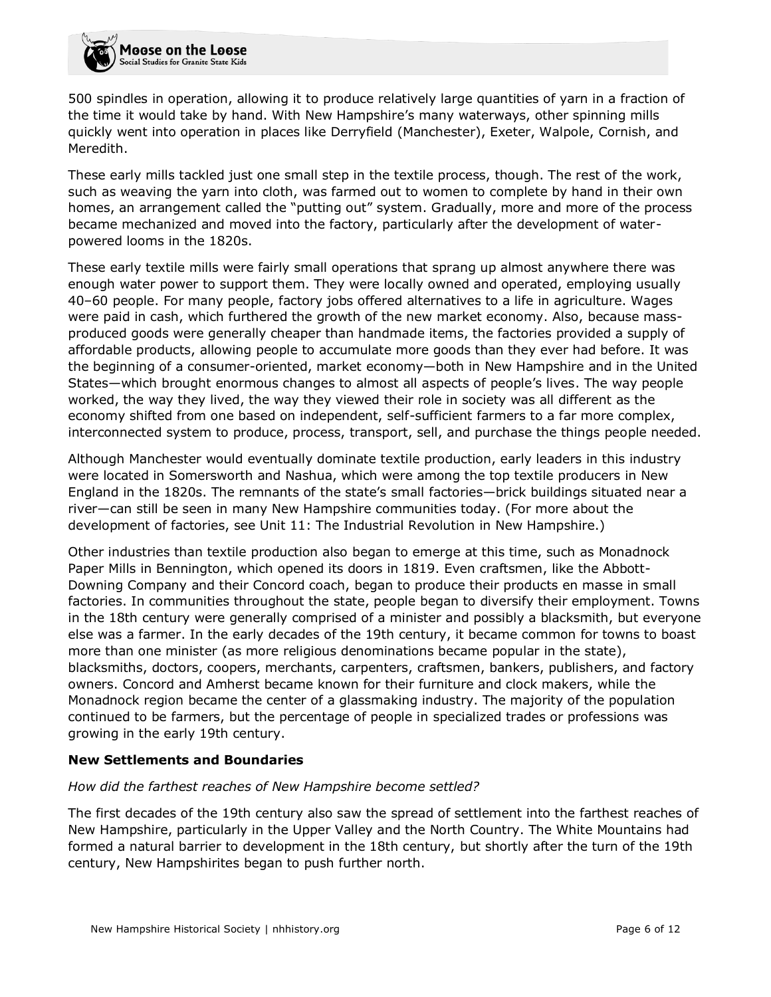500 spindles in operation, allowing it to produce relatively large quantities of yarn in a fraction of the time it would take by hand. With New Hampshire's many waterways, other spinning mills quickly went into operation in places like Derryfield (Manchester), Exeter, Walpole, Cornish, and Meredith.

These early mills tackled just one small step in the textile process, though. The rest of the work, such as weaving the yarn into cloth, was farmed out to women to complete by hand in their own homes, an arrangement called the "putting out" system. Gradually, more and more of the process became mechanized and moved into the factory, particularly after the development of waterpowered looms in the 1820s.

These early textile mills were fairly small operations that sprang up almost anywhere there was enough water power to support them. They were locally owned and operated, employing usually 40–60 people. For many people, factory jobs offered alternatives to a life in agriculture. Wages were paid in cash, which furthered the growth of the new market economy. Also, because massproduced goods were generally cheaper than handmade items, the factories provided a supply of affordable products, allowing people to accumulate more goods than they ever had before. It was the beginning of a consumer-oriented, market economy—both in New Hampshire and in the United States—which brought enormous changes to almost all aspects of people's lives. The way people worked, the way they lived, the way they viewed their role in society was all different as the economy shifted from one based on independent, self-sufficient farmers to a far more complex, interconnected system to produce, process, transport, sell, and purchase the things people needed.

Although Manchester would eventually dominate textile production, early leaders in this industry were located in Somersworth and Nashua, which were among the top textile producers in New England in the 1820s. The remnants of the state's small factories—brick buildings situated near a river—can still be seen in many New Hampshire communities today. (For more about the development of factories, see Unit 11: The Industrial Revolution in New Hampshire.)

Other industries than textile production also began to emerge at this time, such as Monadnock Paper Mills in Bennington, which opened its doors in 1819. Even craftsmen, like the Abbott-Downing Company and their Concord coach, began to produce their products en masse in small factories. In communities throughout the state, people began to diversify their employment. Towns in the 18th century were generally comprised of a minister and possibly a blacksmith, but everyone else was a farmer. In the early decades of the 19th century, it became common for towns to boast more than one minister (as more religious denominations became popular in the state), blacksmiths, doctors, coopers, merchants, carpenters, craftsmen, bankers, publishers, and factory owners. Concord and Amherst became known for their furniture and clock makers, while the Monadnock region became the center of a glassmaking industry. The majority of the population continued to be farmers, but the percentage of people in specialized trades or professions was growing in the early 19th century.

### **New Settlements and Boundaries**

### *How did the farthest reaches of New Hampshire become settled?*

The first decades of the 19th century also saw the spread of settlement into the farthest reaches of New Hampshire, particularly in the Upper Valley and the North Country. The White Mountains had formed a natural barrier to development in the 18th century, but shortly after the turn of the 19th century, New Hampshirites began to push further north.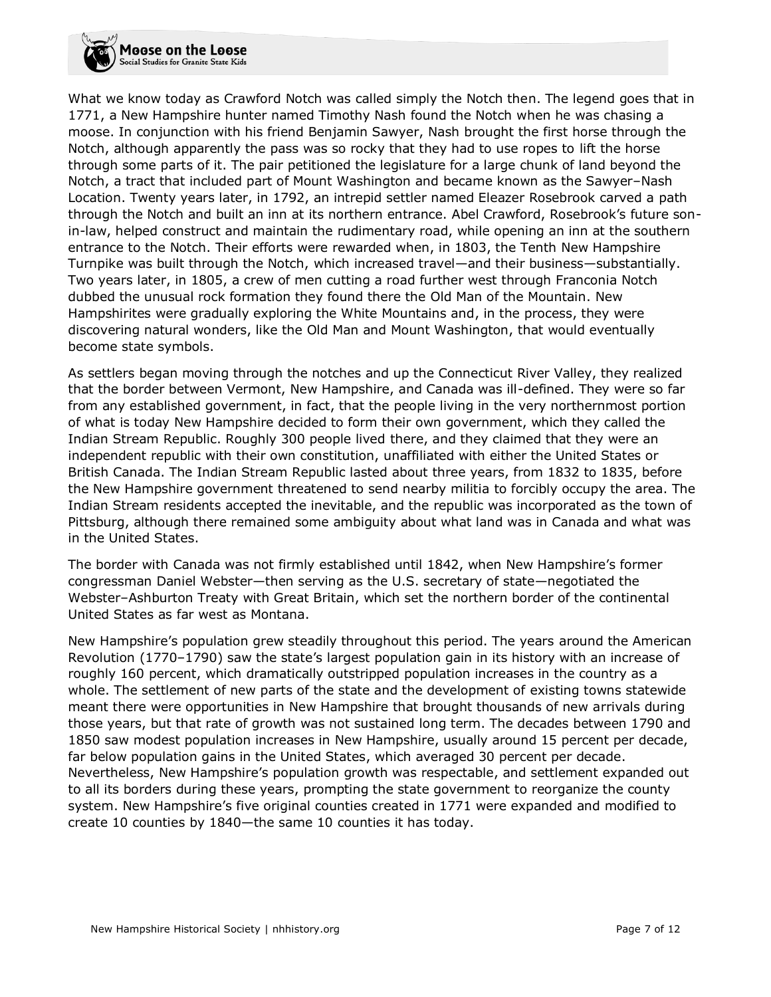What we know today as Crawford Notch was called simply the Notch then. The legend goes that in 1771, a New Hampshire hunter named Timothy Nash found the Notch when he was chasing a moose. In conjunction with his friend Benjamin Sawyer, Nash brought the first horse through the Notch, although apparently the pass was so rocky that they had to use ropes to lift the horse through some parts of it. The pair petitioned the legislature for a large chunk of land beyond the Notch, a tract that included part of Mount Washington and became known as the Sawyer–Nash Location. Twenty years later, in 1792, an intrepid settler named Eleazer Rosebrook carved a path through the Notch and built an inn at its northern entrance. Abel Crawford, Rosebrook's future sonin-law, helped construct and maintain the rudimentary road, while opening an inn at the southern entrance to the Notch. Their efforts were rewarded when, in 1803, the Tenth New Hampshire Turnpike was built through the Notch, which increased travel—and their business—substantially. Two years later, in 1805, a crew of men cutting a road further west through Franconia Notch dubbed the unusual rock formation they found there the Old Man of the Mountain. New Hampshirites were gradually exploring the White Mountains and, in the process, they were discovering natural wonders, like the Old Man and Mount Washington, that would eventually become state symbols.

As settlers began moving through the notches and up the Connecticut River Valley, they realized that the border between Vermont, New Hampshire, and Canada was ill-defined. They were so far from any established government, in fact, that the people living in the very northernmost portion of what is today New Hampshire decided to form their own government, which they called the Indian Stream Republic. Roughly 300 people lived there, and they claimed that they were an independent republic with their own constitution, unaffiliated with either the United States or British Canada. The Indian Stream Republic lasted about three years, from 1832 to 1835, before the New Hampshire government threatened to send nearby militia to forcibly occupy the area. The Indian Stream residents accepted the inevitable, and the republic was incorporated as the town of Pittsburg, although there remained some ambiguity about what land was in Canada and what was in the United States.

The border with Canada was not firmly established until 1842, when New Hampshire's former congressman Daniel Webster—then serving as the U.S. secretary of state—negotiated the Webster–Ashburton Treaty with Great Britain, which set the northern border of the continental United States as far west as Montana.

New Hampshire's population grew steadily throughout this period. The years around the American Revolution (1770–1790) saw the state's largest population gain in its history with an increase of roughly 160 percent, which dramatically outstripped population increases in the country as a whole. The settlement of new parts of the state and the development of existing towns statewide meant there were opportunities in New Hampshire that brought thousands of new arrivals during those years, but that rate of growth was not sustained long term. The decades between 1790 and 1850 saw modest population increases in New Hampshire, usually around 15 percent per decade, far below population gains in the United States, which averaged 30 percent per decade. Nevertheless, New Hampshire's population growth was respectable, and settlement expanded out to all its borders during these years, prompting the state government to reorganize the county system. New Hampshire's five original counties created in 1771 were expanded and modified to create 10 counties by 1840—the same 10 counties it has today.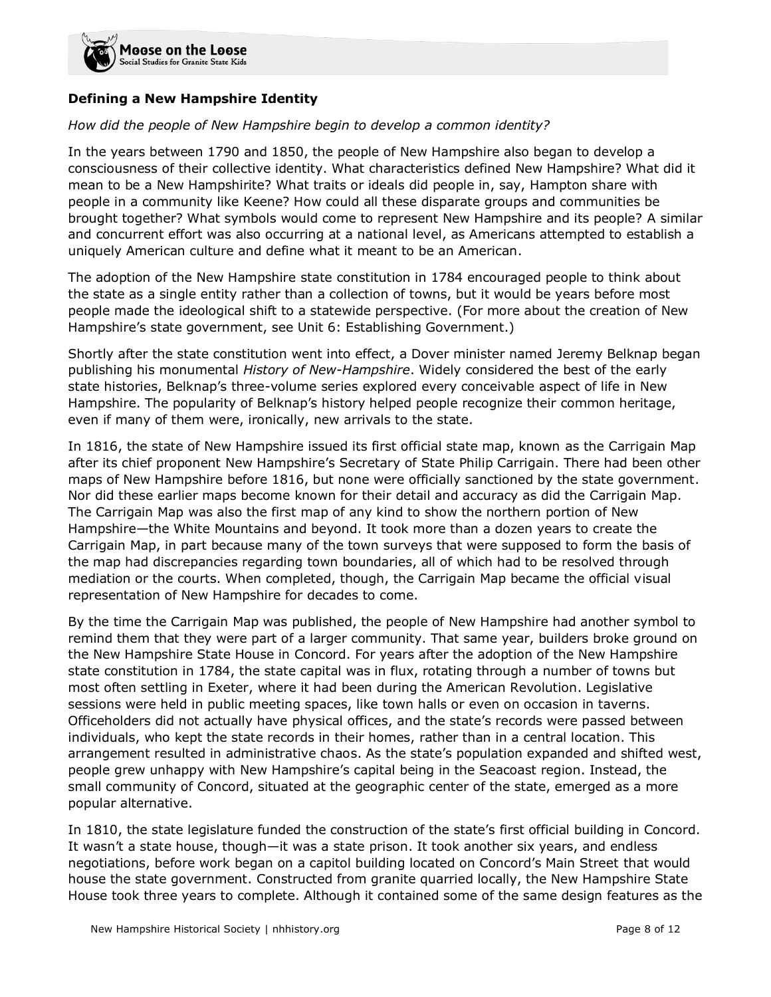

### **Defining a New Hampshire Identity**

### *How did the people of New Hampshire begin to develop a common identity?*

In the years between 1790 and 1850, the people of New Hampshire also began to develop a consciousness of their collective identity. What characteristics defined New Hampshire? What did it mean to be a New Hampshirite? What traits or ideals did people in, say, Hampton share with people in a community like Keene? How could all these disparate groups and communities be brought together? What symbols would come to represent New Hampshire and its people? A similar and concurrent effort was also occurring at a national level, as Americans attempted to establish a uniquely American culture and define what it meant to be an American.

The adoption of the New Hampshire state constitution in 1784 encouraged people to think about the state as a single entity rather than a collection of towns, but it would be years before most people made the ideological shift to a statewide perspective. (For more about the creation of New Hampshire's state government, see Unit 6: Establishing Government.)

Shortly after the state constitution went into effect, a Dover minister named Jeremy Belknap began publishing his monumental *History of New-Hampshire*. Widely considered the best of the early state histories, Belknap's three-volume series explored every conceivable aspect of life in New Hampshire. The popularity of Belknap's history helped people recognize their common heritage, even if many of them were, ironically, new arrivals to the state.

In 1816, the state of New Hampshire issued its first official state map, known as the Carrigain Map after its chief proponent New Hampshire's Secretary of State Philip Carrigain. There had been other maps of New Hampshire before 1816, but none were officially sanctioned by the state government. Nor did these earlier maps become known for their detail and accuracy as did the Carrigain Map. The Carrigain Map was also the first map of any kind to show the northern portion of New Hampshire—the White Mountains and beyond. It took more than a dozen years to create the Carrigain Map, in part because many of the town surveys that were supposed to form the basis of the map had discrepancies regarding town boundaries, all of which had to be resolved through mediation or the courts. When completed, though, the Carrigain Map became the official visual representation of New Hampshire for decades to come.

By the time the Carrigain Map was published, the people of New Hampshire had another symbol to remind them that they were part of a larger community. That same year, builders broke ground on the New Hampshire State House in Concord. For years after the adoption of the New Hampshire state constitution in 1784, the state capital was in flux, rotating through a number of towns but most often settling in Exeter, where it had been during the American Revolution. Legislative sessions were held in public meeting spaces, like town halls or even on occasion in taverns. Officeholders did not actually have physical offices, and the state's records were passed between individuals, who kept the state records in their homes, rather than in a central location. This arrangement resulted in administrative chaos. As the state's population expanded and shifted west, people grew unhappy with New Hampshire's capital being in the Seacoast region. Instead, the small community of Concord, situated at the geographic center of the state, emerged as a more popular alternative.

In 1810, the state legislature funded the construction of the state's first official building in Concord. It wasn't a state house, though—it was a state prison. It took another six years, and endless negotiations, before work began on a capitol building located on Concord's Main Street that would house the state government. Constructed from granite quarried locally, the New Hampshire State House took three years to complete. Although it contained some of the same design features as the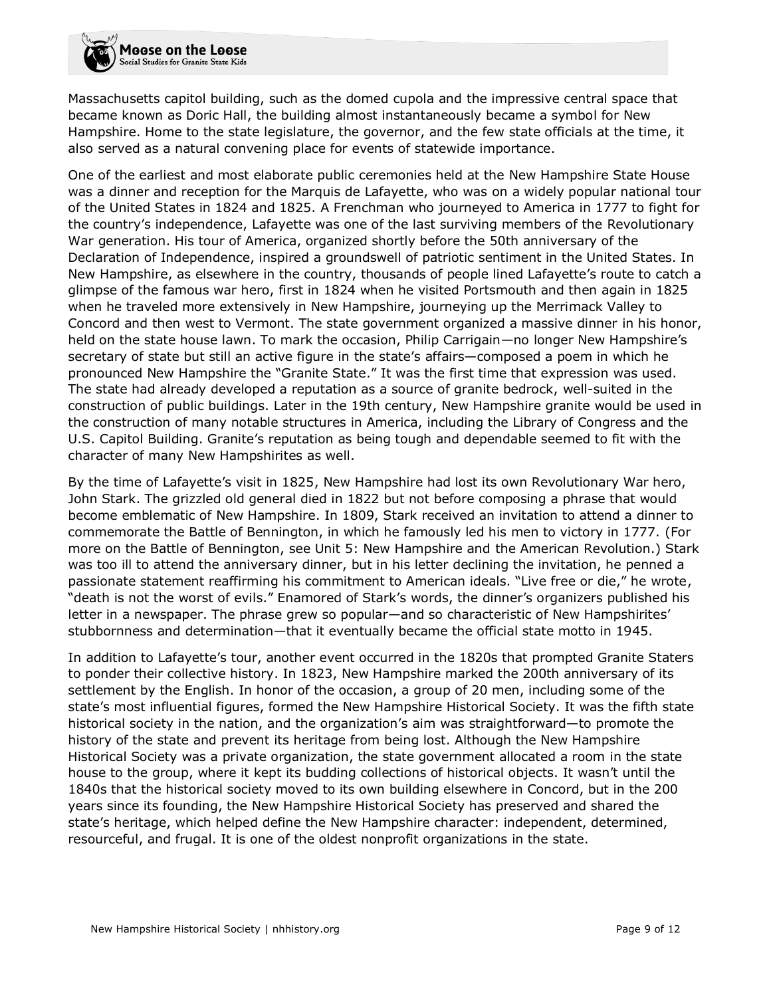Massachusetts capitol building, such as the domed cupola and the impressive central space that became known as Doric Hall, the building almost instantaneously became a symbol for New Hampshire. Home to the state legislature, the governor, and the few state officials at the time, it also served as a natural convening place for events of statewide importance.

One of the earliest and most elaborate public ceremonies held at the New Hampshire State House was a dinner and reception for the Marquis de Lafayette, who was on a widely popular national tour of the United States in 1824 and 1825. A Frenchman who journeyed to America in 1777 to fight for the country's independence, Lafayette was one of the last surviving members of the Revolutionary War generation. His tour of America, organized shortly before the 50th anniversary of the Declaration of Independence, inspired a groundswell of patriotic sentiment in the United States. In New Hampshire, as elsewhere in the country, thousands of people lined Lafayette's route to catch a glimpse of the famous war hero, first in 1824 when he visited Portsmouth and then again in 1825 when he traveled more extensively in New Hampshire, journeying up the Merrimack Valley to Concord and then west to Vermont. The state government organized a massive dinner in his honor, held on the state house lawn. To mark the occasion, Philip Carrigain—no longer New Hampshire's secretary of state but still an active figure in the state's affairs—composed a poem in which he pronounced New Hampshire the "Granite State." It was the first time that expression was used. The state had already developed a reputation as a source of granite bedrock, well-suited in the construction of public buildings. Later in the 19th century, New Hampshire granite would be used in the construction of many notable structures in America, including the Library of Congress and the U.S. Capitol Building. Granite's reputation as being tough and dependable seemed to fit with the character of many New Hampshirites as well.

By the time of Lafayette's visit in 1825, New Hampshire had lost its own Revolutionary War hero, John Stark. The grizzled old general died in 1822 but not before composing a phrase that would become emblematic of New Hampshire. In 1809, Stark received an invitation to attend a dinner to commemorate the Battle of Bennington, in which he famously led his men to victory in 1777. (For more on the Battle of Bennington, see Unit 5: New Hampshire and the American Revolution.) Stark was too ill to attend the anniversary dinner, but in his letter declining the invitation, he penned a passionate statement reaffirming his commitment to American ideals. "Live free or die," he wrote, "death is not the worst of evils." Enamored of Stark's words, the dinner's organizers published his letter in a newspaper. The phrase grew so popular—and so characteristic of New Hampshirites' stubbornness and determination—that it eventually became the official state motto in 1945.

In addition to Lafayette's tour, another event occurred in the 1820s that prompted Granite Staters to ponder their collective history. In 1823, New Hampshire marked the 200th anniversary of its settlement by the English. In honor of the occasion, a group of 20 men, including some of the state's most influential figures, formed the New Hampshire Historical Society. It was the fifth state historical society in the nation, and the organization's aim was straightforward—to promote the history of the state and prevent its heritage from being lost. Although the New Hampshire Historical Society was a private organization, the state government allocated a room in the state house to the group, where it kept its budding collections of historical objects. It wasn't until the 1840s that the historical society moved to its own building elsewhere in Concord, but in the 200 years since its founding, the New Hampshire Historical Society has preserved and shared the state's heritage, which helped define the New Hampshire character: independent, determined, resourceful, and frugal. It is one of the oldest nonprofit organizations in the state.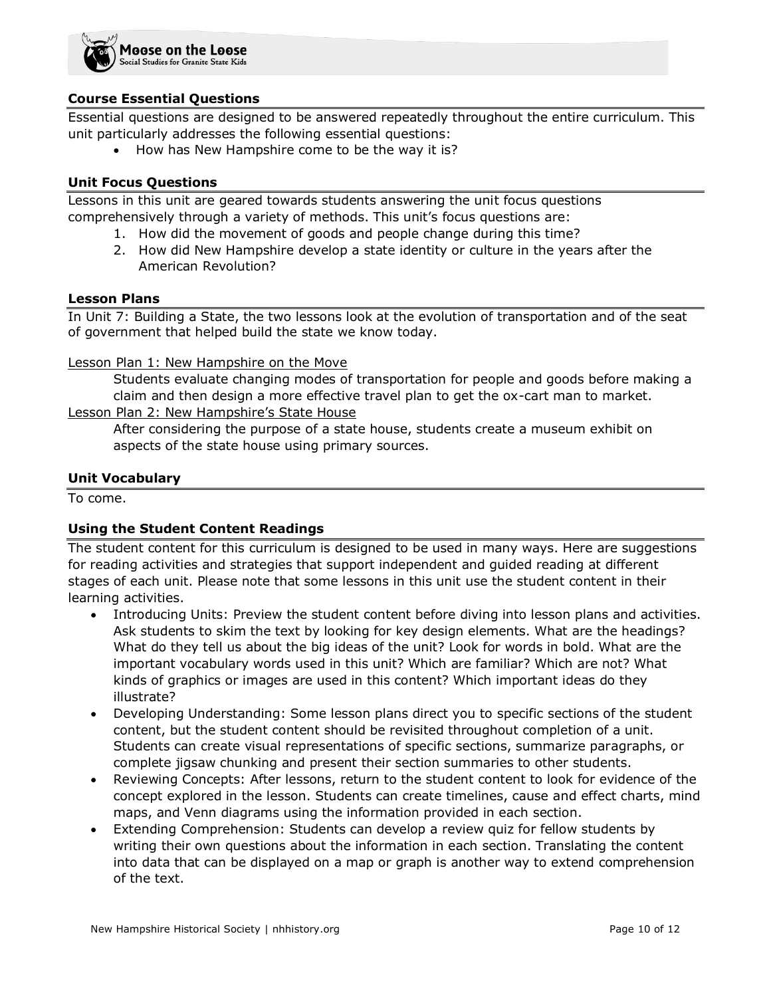

### **Course Essential Questions**

Essential questions are designed to be answered repeatedly throughout the entire curriculum. This unit particularly addresses the following essential questions:

• How has New Hampshire come to be the way it is?

#### **Unit Focus Questions**

Lessons in this unit are geared towards students answering the unit focus questions comprehensively through a variety of methods. This unit's focus questions are:

- 1. How did the movement of goods and people change during this time?
- 2. How did New Hampshire develop a state identity or culture in the years after the American Revolution?

#### **Lesson Plans**

In Unit 7: Building a State, the two lessons look at the evolution of transportation and of the seat of government that helped build the state we know today.

#### Lesson Plan 1: New Hampshire on the Move

Students evaluate changing modes of transportation for people and goods before making a claim and then design a more effective travel plan to get the ox-cart man to market.

Lesson Plan 2: New Hampshire's State House

After considering the purpose of a state house, students create a museum exhibit on aspects of the state house using primary sources.

#### **Unit Vocabulary**

To come.

### **Using the Student Content Readings**

The student content for this curriculum is designed to be used in many ways. Here are suggestions for reading activities and strategies that support independent and guided reading at different stages of each unit. Please note that some lessons in this unit use the student content in their learning activities.

- Introducing Units: Preview the student content before diving into lesson plans and activities. Ask students to skim the text by looking for key design elements. What are the headings? What do they tell us about the big ideas of the unit? Look for words in bold. What are the important vocabulary words used in this unit? Which are familiar? Which are not? What kinds of graphics or images are used in this content? Which important ideas do they illustrate?
- Developing Understanding: Some lesson plans direct you to specific sections of the student content, but the student content should be revisited throughout completion of a unit. Students can create visual representations of specific sections, summarize paragraphs, or complete jigsaw chunking and present their section summaries to other students.
- Reviewing Concepts: After lessons, return to the student content to look for evidence of the concept explored in the lesson. Students can create timelines, cause and effect charts, mind maps, and Venn diagrams using the information provided in each section.
- Extending Comprehension: Students can develop a review quiz for fellow students by writing their own questions about the information in each section. Translating the content into data that can be displayed on a map or graph is another way to extend comprehension of the text.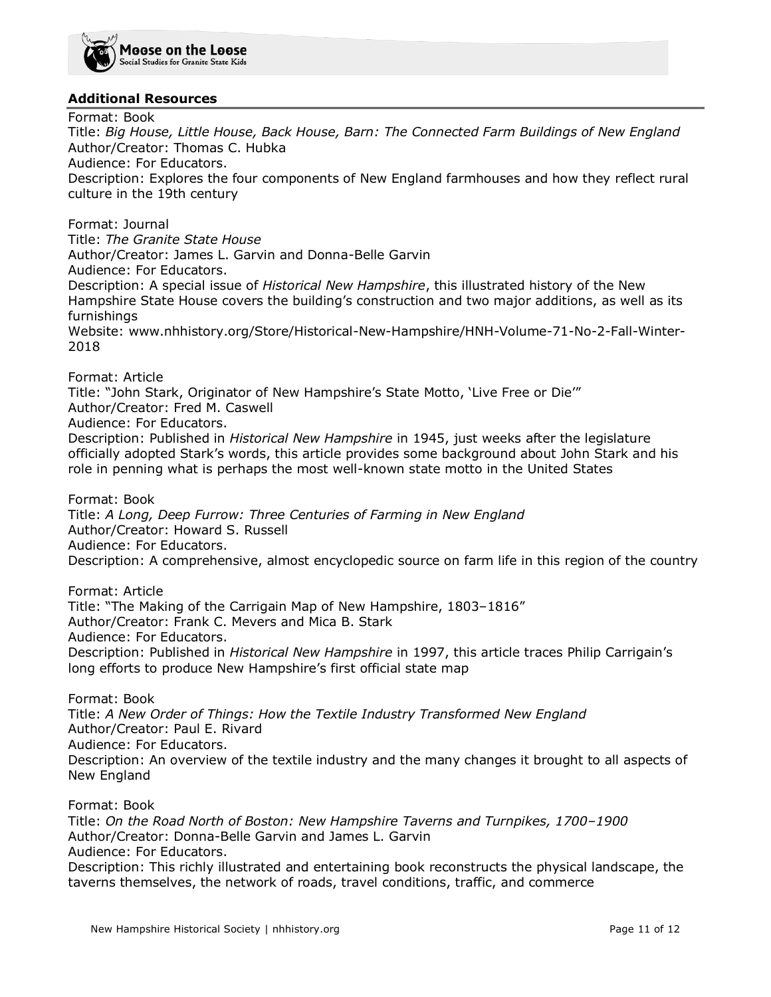

### **Additional Resources**

Format: Book Title: *Big House, Little House, Back House, Barn: The Connected Farm Buildings of New England* Author/Creator: Thomas C. Hubka Audience: For Educators. Description: Explores the four components of New England farmhouses and how they reflect rural culture in the 19th century

Format: Journal Title: *The Granite State House* Author/Creator: James L. Garvin and Donna-Belle Garvin Audience: For Educators. Description: A special issue of *Historical New Hampshire*, this illustrated history of the New Hampshire State House covers the building's construction and two major additions, as well as its furnishings Website: www.nhhistory.org/Store/Historical-New-Hampshire/HNH-Volume-71-No-2-Fall-Winter-2018

Format: Article

Title: "John Stark, Originator of New Hampshire's State Motto, 'Live Free or Die'" Author/Creator: Fred M. Caswell Audience: For Educators. Description: Published in *Historical New Hampshire* in 1945, just weeks after the legislature officially adopted Stark's words, this article provides some background about John Stark and his role in penning what is perhaps the most well-known state motto in the United States

Format: Book

Title: *A Long, Deep Furrow: Three Centuries of Farming in New England* Author/Creator: Howard S. Russell Audience: For Educators. Description: A comprehensive, almost encyclopedic source on farm life in this region of the country

Format: Article Title: "The Making of the Carrigain Map of New Hampshire, 1803–1816" Author/Creator: Frank C. Mevers and Mica B. Stark Audience: For Educators. Description: Published in *Historical New Hampshire* in 1997, this article traces Philip Carrigain's long efforts to produce New Hampshire's first official state map

Format: Book Title: *A New Order of Things: How the Textile Industry Transformed New England* Author/Creator: Paul E. Rivard Audience: For Educators. Description: An overview of the textile industry and the many changes it brought to all aspects of New England

Format: Book

Title: *On the Road North of Boston: New Hampshire Taverns and Turnpikes, 1700–1900* Author/Creator: Donna-Belle Garvin and James L. Garvin Audience: For Educators. Description: This richly illustrated and entertaining book reconstructs the physical landscape, the taverns themselves, the network of roads, travel conditions, traffic, and commerce